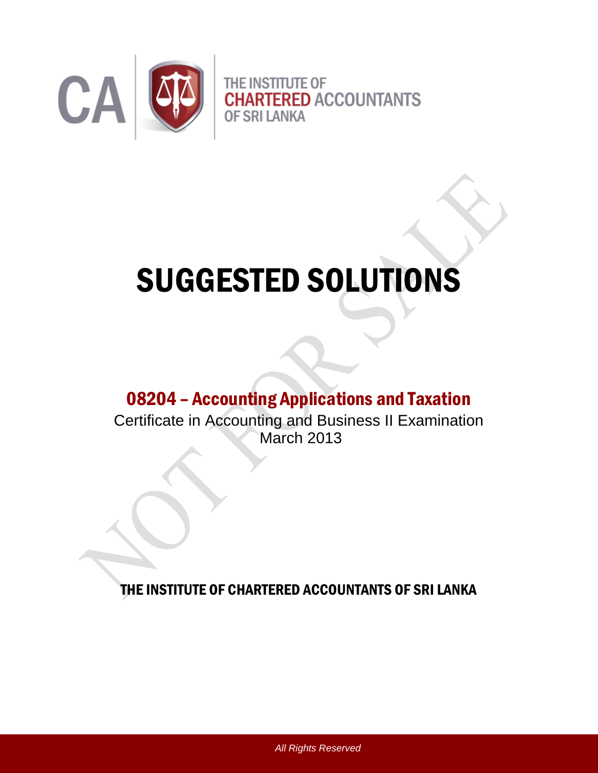

# SUGGESTED SOLUTIONS

# 08204 – Accounting Applications and Taxation

Certificate in Accounting and Business II Examination March 2013

THE INSTITUTE OF CHARTERED ACCOUNTANTS OF SRI LANKA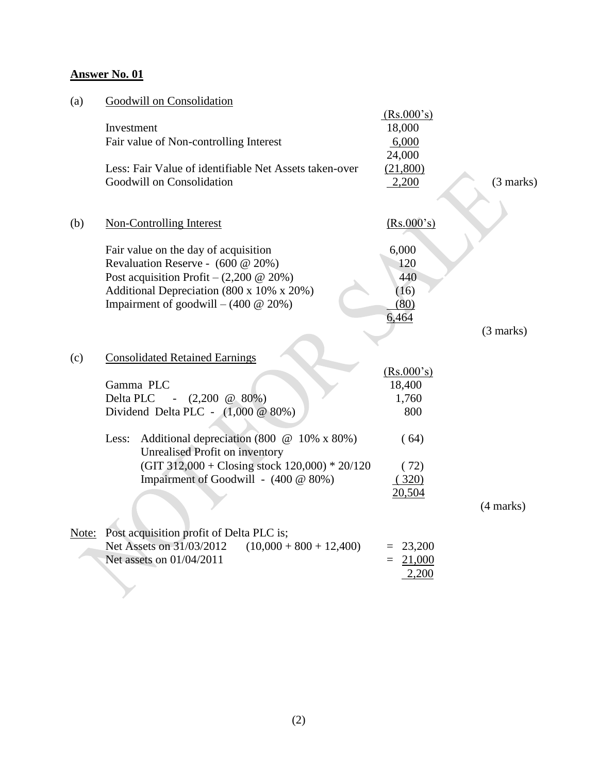| (a) | Goodwill on Consolidation                                                           |                      |             |
|-----|-------------------------------------------------------------------------------------|----------------------|-------------|
|     | Investment                                                                          | (Rs.000's)<br>18,000 |             |
|     | Fair value of Non-controlling Interest                                              | 6,000<br>24,000      |             |
|     | Less: Fair Value of identifiable Net Assets taken-over<br>Goodwill on Consolidation | (21,800)<br>2,200    | (3 marks)   |
|     |                                                                                     |                      |             |
| (b) | <b>Non-Controlling Interest</b>                                                     | (Rs.000's)           |             |
|     | Fair value on the day of acquisition                                                | 6,000                |             |
|     | Revaluation Reserve - (600 @ 20%)                                                   | 120                  |             |
|     | Post acquisition Profit – $(2,200 \ @ 20\%)$                                        | 440                  |             |
|     | Additional Depreciation (800 x 10% x 20%)                                           | (16)                 |             |
|     | Impairment of goodwill $- (400 \& 20\%)$                                            | (80)                 |             |
|     |                                                                                     | 6,464                |             |
|     |                                                                                     |                      | $(3$ marks) |
| (c) | <b>Consolidated Retained Earnings</b>                                               |                      |             |
|     |                                                                                     | (Rs.000's)           |             |
|     | Gamma PLC                                                                           | 18,400               |             |
|     | $(2,200 \ @ 80\%)$<br>Delta PLC                                                     | 1,760                |             |
|     | Dividend Delta PLC - $(1,000 \ @ 80\%)$                                             | 800                  |             |
|     | Additional depreciation (800 @ 10% x 80%)<br>Less:                                  | (64)                 |             |
|     | <b>Unrealised Profit on inventory</b>                                               |                      |             |
|     | (GIT 312,000 + Closing stock 120,000) * 20/120                                      | (72)                 |             |
|     | Impairment of Goodwill - (400 @ 80%)                                                | (320)                |             |
|     |                                                                                     | 20,504               |             |
|     |                                                                                     |                      | (4 marks)   |
|     | Note: Post acquisition profit of Delta PLC is;                                      |                      |             |
|     | Net Assets on 31/03/2012<br>$(10,000 + 800 + 12,400)$                               | $= 23,200$           |             |
|     | Net assets on 01/04/2011                                                            | 21,000<br>$=$        |             |
|     |                                                                                     | 2,200                |             |
|     |                                                                                     |                      |             |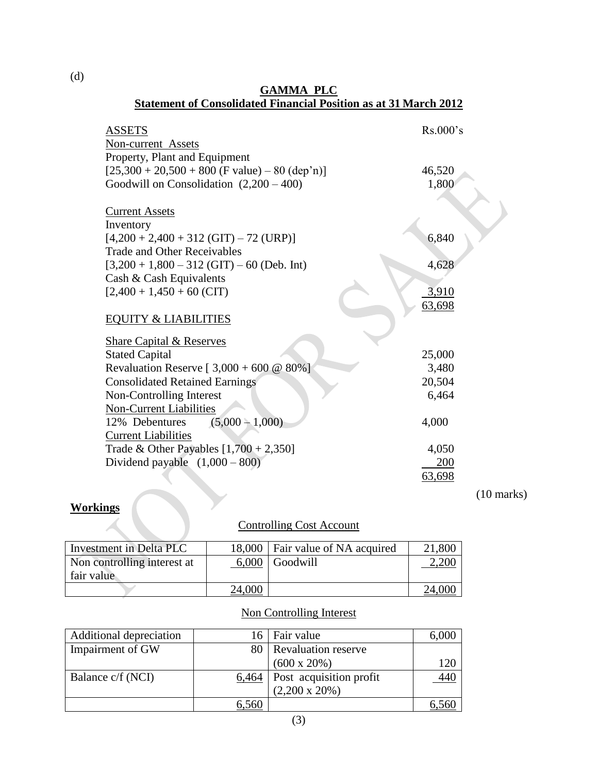| Statement of Consondated Financial Position as at 31 march $2012$ |          |
|-------------------------------------------------------------------|----------|
| <b>ASSETS</b>                                                     | Rs.000's |
| Non-current Assets                                                |          |
| Property, Plant and Equipment                                     |          |
| $[25,300 + 20,500 + 800$ (F value) – 80 (dep'n)]                  | 46,520   |
| Goodwill on Consolidation $(2,200 - 400)$                         | 1,800    |
|                                                                   |          |
| <b>Current Assets</b>                                             |          |
| Inventory                                                         |          |
| $[4,200 + 2,400 + 312$ (GIT) – 72 (URP)]                          | 6,840    |
| <b>Trade and Other Receivables</b>                                |          |
| $[3,200 + 1,800 - 312$ (GIT) - 60 (Deb. Int)                      | 4,628    |
| Cash & Cash Equivalents                                           |          |
| $[2,400 + 1,450 + 60$ (CIT)                                       | 3,910    |
|                                                                   | 63,698   |
| <b>EQUITY &amp; LIABILITIES</b>                                   |          |
|                                                                   |          |
| <b>Share Capital &amp; Reserves</b>                               |          |
| <b>Stated Capital</b>                                             | 25,000   |
| Revaluation Reserve [ $3,000 + 600 \ @ 80\%$ ]                    | 3,480    |
| <b>Consolidated Retained Earnings</b>                             | 20,504   |
| Non-Controlling Interest                                          | 6,464    |
| <b>Non-Current Liabilities</b>                                    |          |
| $(5,000 - 1,000)$<br>12% Debentures                               | 4,000    |
| <b>Current Liabilities</b>                                        |          |
| Trade & Other Payables $[1,700 + 2,350]$                          | 4,050    |
| Dividend payable $(1,000 - 800)$                                  | 200      |
|                                                                   | 63,698   |

# **GAMMA PLC**

#### **Statement of Consolidated Financial Position as at 31 March 2012**

# **Workings**

### Controlling Cost Account

(10 marks)

| Investment in Delta PLC     | 18,000 | Fair value of NA acquired | 21,800 |
|-----------------------------|--------|---------------------------|--------|
| Non controlling interest at | 6,000  | Goodwill                  |        |
| fair value                  |        |                           |        |
|                             | 24,000 |                           | 24.000 |

#### Non Controlling Interest

| Additional depreciation | 16    | Fair value                 | 6,000           |
|-------------------------|-------|----------------------------|-----------------|
| Impairment of GW        | 80    | <b>Revaluation reserve</b> |                 |
|                         |       | $(600 \times 20\%)$        | 120             |
| Balance c/f (NCI)       | 6,464 | Post acquisition profit    | $\frac{440}{1}$ |
|                         |       | $(2,200 \times 20\%)$      |                 |
|                         | 6.560 |                            |                 |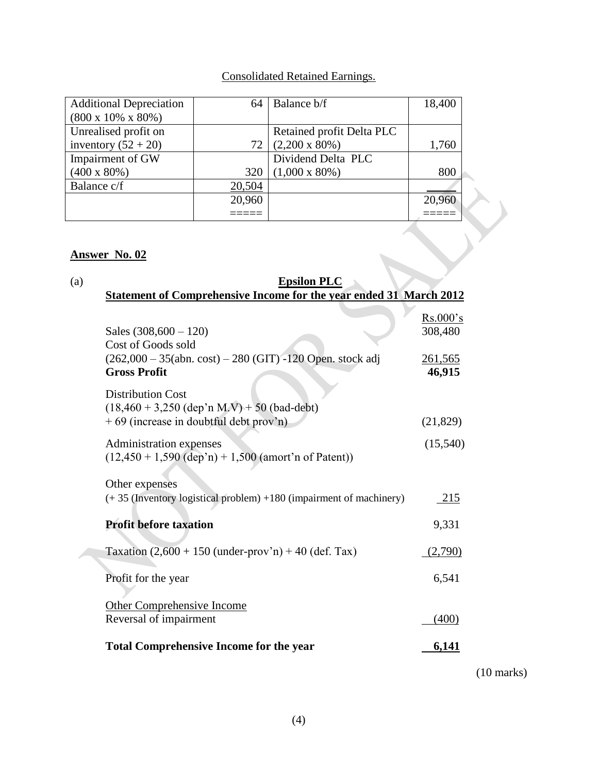#### Consolidated Retained Earnings.

| <b>Additional Depreciation</b>  | 64     | Balance b/f               | 18,400 |
|---------------------------------|--------|---------------------------|--------|
| $(800 \times 10\% \times 80\%)$ |        |                           |        |
| Unrealised profit on            |        | Retained profit Delta PLC |        |
| inventory $(52 + 20)$           | 72     | $(2,200 \times 80\%)$     | 1,760  |
| Impairment of GW                |        | Dividend Delta PLC        |        |
| $(400 \times 80\%)$             | 320    | $(1,000 \times 80\%)$     | 800    |
| Balance c/f                     | 20,504 |                           |        |
|                                 | 20,960 |                           | 20,960 |
|                                 |        |                           |        |

## **Answer No. 02**

#### (a) **Epsilon PLC Statement of Comprehensive Income for the year ended 31 March 2012**

| Sales $(308,600 - 120)$<br>Cost of Goods sold                                                                       | Rs.000's<br>308,480      |
|---------------------------------------------------------------------------------------------------------------------|--------------------------|
| $(262,000 - 35(abn. cost) - 280 (GIT) -120 Open. stock adj$<br><b>Gross Profit</b>                                  | <u>261,565</u><br>46,915 |
| <b>Distribution Cost</b><br>$(18,460 + 3,250$ (dep'n M.V) + 50 (bad-debt)<br>+69 (increase in doubtful debt prov'n) | (21,829)                 |
| Administration expenses<br>$(12,450 + 1,590$ (dep'n) + 1,500 (amort'n of Patent))                                   | (15,540)                 |
| Other expenses<br>$(+35)$ (Inventory logistical problem) $+180$ (impairment of machinery)                           | 215                      |
| <b>Profit before taxation</b>                                                                                       | 9,331                    |
| Taxation $(2,600 + 150$ (under-prov'n) + 40 (def. Tax)                                                              | (2,790)                  |
| Profit for the year                                                                                                 | 6,541                    |
| <b>Other Comprehensive Income</b><br>Reversal of impairment                                                         | (400)                    |
| <b>Total Comprehensive Income for the year</b>                                                                      | 6,141                    |

(10 marks)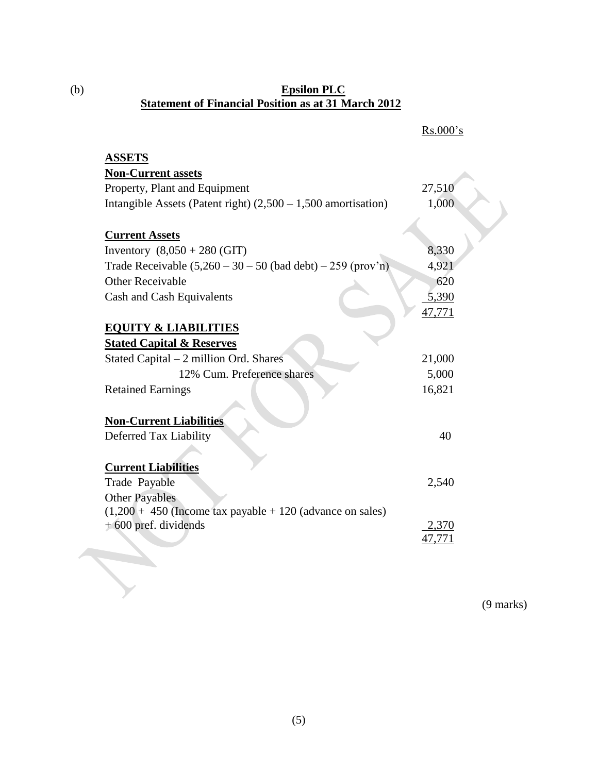#### (b) **Epsilon PLC Statement of Financial Position as at 31 March 2012**

|                                                                  | Rs.000's        |
|------------------------------------------------------------------|-----------------|
| <b>ASSETS</b>                                                    |                 |
| <b>Non-Current assets</b>                                        |                 |
| Property, Plant and Equipment                                    | 27,510          |
| Intangible Assets (Patent right) $(2,500 - 1,500)$ amortisation) | 1,000           |
| <b>Current Assets</b>                                            |                 |
| Inventory $(8,050 + 280)$ (GIT)                                  | 8,330           |
| Trade Receivable $(5,260 - 30 - 50$ (bad debt) $- 259$ (prov'n)  | 4,921           |
| <b>Other Receivable</b>                                          | 620             |
| Cash and Cash Equivalents                                        | 5,390           |
|                                                                  | 47,771          |
| <b>EQUITY &amp; LIABILITIES</b>                                  |                 |
| <b>Stated Capital &amp; Reserves</b>                             |                 |
| Stated Capital $-2$ million Ord. Shares                          | 21,000          |
| 12% Cum. Preference shares                                       | 5,000           |
| <b>Retained Earnings</b>                                         | 16,821          |
| <b>Non-Current Liabilities</b>                                   |                 |
| Deferred Tax Liability                                           | 40              |
| <b>Current Liabilities</b>                                       |                 |
| Trade Payable                                                    | 2,540           |
| <b>Other Payables</b>                                            |                 |
| $(1,200 + 450)$ (Income tax payable + 120 (advance on sales)     |                 |
| + 600 pref. dividends                                            | 2,370<br>47,771 |
|                                                                  |                 |
|                                                                  |                 |
|                                                                  |                 |

(9 marks)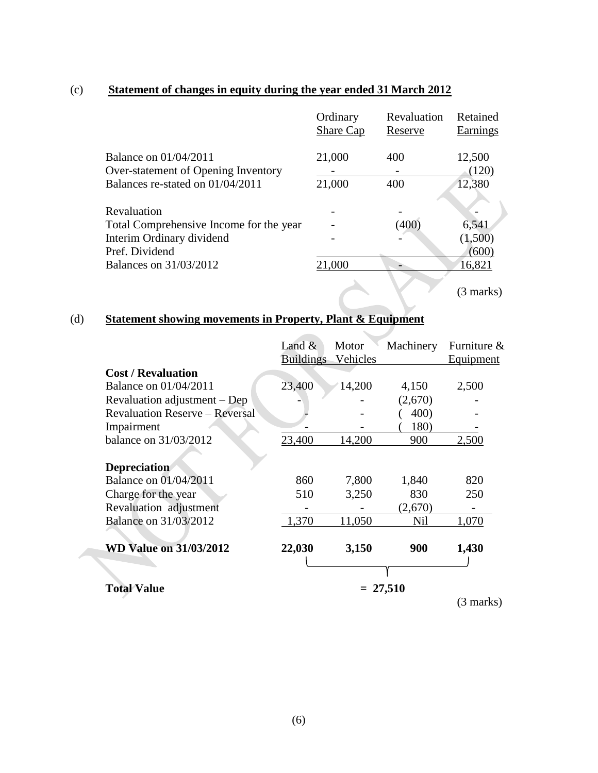#### (c) **Statement of changes in equity during the year ended 31 March 2012**

|                                         | Ordinary  | Revaluation | Retained  |
|-----------------------------------------|-----------|-------------|-----------|
|                                         | Share Cap | Reserve     | Earnings  |
|                                         |           |             |           |
| <b>Balance on 01/04/2011</b>            | 21,000    | 400         | 12,500    |
| Over-statement of Opening Inventory     |           |             | (120)     |
| Balances re-stated on 01/04/2011        | 21,000    | 400         | 12,380    |
|                                         |           |             |           |
| Revaluation                             |           |             |           |
| Total Comprehensive Income for the year |           | (400)       | 6,541     |
| Interim Ordinary dividend               |           |             | (1,500)   |
| Pref. Dividend                          |           |             | (600)     |
| <b>Balances on 31/03/2012</b>           | 21,000    |             | 16,821    |
|                                         |           |             |           |
|                                         |           |             | (3 marks) |

## (d) **Statement showing movements in Property, Plant & Equipment**

|                                       | Land $\&$        | Motor    | Machinery  | Furniture &      |
|---------------------------------------|------------------|----------|------------|------------------|
|                                       | <b>Buildings</b> | Vehicles |            | <b>Equipment</b> |
| <b>Cost / Revaluation</b>             |                  |          |            |                  |
| <b>Balance on 01/04/2011</b>          | 23,400           | 14,200   | 4,150      | 2,500            |
| Revaluation adjustment – Dep          |                  |          | (2,670)    |                  |
| <b>Revaluation Reserve – Reversal</b> |                  |          | 400)       |                  |
| Impairment                            |                  |          | 180)       |                  |
| balance on 31/03/2012                 | 23,400           | 14,200   | 900        | 2,500            |
| <b>Depreciation</b>                   |                  |          |            |                  |
| <b>Balance on 01/04/2011</b>          | 860              | 7,800    | 1,840      | 820              |
| Charge for the year                   | 510              | 3,250    | 830        | 250              |
| Revaluation adjustment                |                  |          | (2,670)    |                  |
| <b>Balance on 31/03/2012</b>          | 1,370            | 11,050   | Nil        | 1,070            |
| <b>WD Value on 31/03/2012</b>         | 22,030           | 3,150    | 900        | 1,430            |
|                                       |                  |          |            |                  |
| <b>Total Value</b>                    |                  |          | $= 27,510$ |                  |

(3 marks)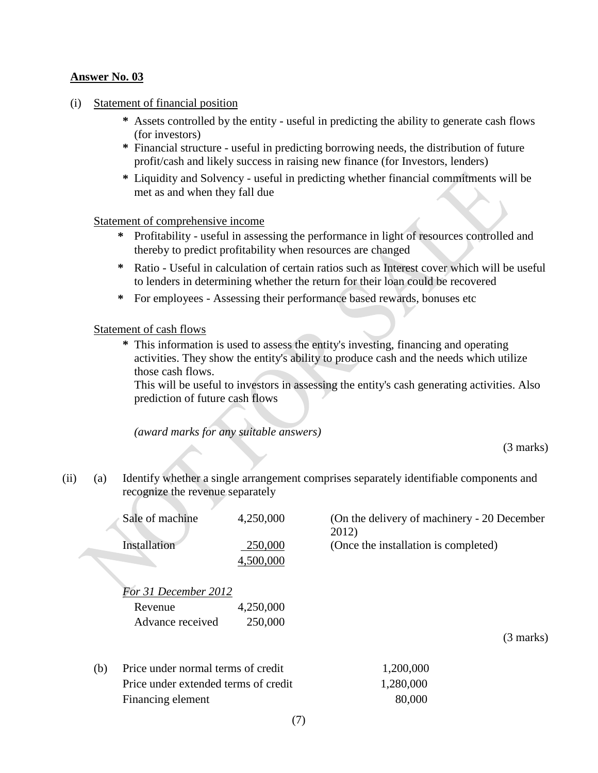- (i) Statement of financial position
	- **\*** Assets controlled by the entity useful in predicting the ability to generate cash flows (for investors)
	- **\*** Financial structure useful in predicting borrowing needs, the distribution of future profit/cash and likely success in raising new finance (for Investors, lenders)
	- **\*** Liquidity and Solvency useful in predicting whether financial commitments will be met as and when they fall due

#### Statement of comprehensive income

- **\*** Profitability useful in assessing the performance in light of resources controlled and thereby to predict profitability when resources are changed
- **\*** Ratio Useful in calculation of certain ratios such as Interest cover which will be useful to lenders in determining whether the return for their loan could be recovered
- **\*** For employees Assessing their performance based rewards, bonuses etc

#### Statement of cash flows

**\*** This information is used to assess the entity's investing, financing and operating activities. They show the entity's ability to produce cash and the needs which utilize those cash flows.

This will be useful to investors in assessing the entity's cash generating activities. Also prediction of future cash flows

*(award marks for any suitable answers)*

(3 marks)

(ii) (a) Identify whether a single arrangement comprises separately identifiable components and recognize the revenue separately

| Sale of machine |                                      | 4,250,000 | (On the delivery of machinery - 20 December)<br>2012) |           |
|-----------------|--------------------------------------|-----------|-------------------------------------------------------|-----------|
|                 | Installation                         | 250,000   | (Once the installation is completed)                  |           |
|                 |                                      | 4,500,000 |                                                       |           |
|                 | For 31 December 2012                 |           |                                                       |           |
|                 | Revenue                              | 4,250,000 |                                                       |           |
|                 | Advance received                     | 250,000   |                                                       |           |
|                 |                                      |           |                                                       | (3 marks) |
| (b)             | Price under normal terms of credit   |           | 1,200,000                                             |           |
|                 | Price under extended terms of credit |           | .280.000                                              |           |

(7)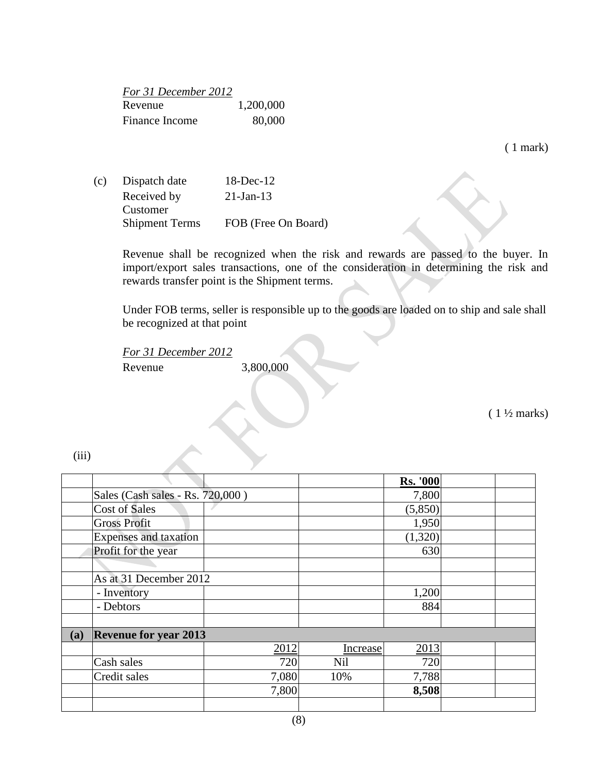| For 31 December 2012 |           |
|----------------------|-----------|
| Revenue              | 1,200,000 |
| Finance Income       | 80,000    |

( 1 mark)

(c) Dispatch date 18-Dec-12 Received by Customer 21-Jan-13 Shipment Terms FOB (Free On Board)

> Revenue shall be recognized when the risk and rewards are passed to the buyer. In import/export sales transactions, one of the consideration in determining the risk and rewards transfer point is the Shipment terms.

> Under FOB terms, seller is responsible up to the goods are loaded on to ship and sale shall be recognized at that point

*For 31 December 2012* Revenue 3,800,000

 $(1\frac{1}{2}$  marks)

(iii)

|     |                                  |       |            | <b>Rs. '000</b> |  |
|-----|----------------------------------|-------|------------|-----------------|--|
|     | Sales (Cash sales - Rs. 720,000) |       |            | 7,800           |  |
|     | Cost of Sales                    |       |            | (5,850)         |  |
|     | <b>Gross Profit</b>              |       |            | 1,950           |  |
|     | <b>Expenses</b> and taxation     |       |            | (1,320)         |  |
|     | Profit for the year              |       |            | 630             |  |
|     |                                  |       |            |                 |  |
|     | As at 31 December 2012           |       |            |                 |  |
|     | - Inventory                      |       |            | 1,200           |  |
|     | - Debtors                        |       |            | 884             |  |
|     |                                  |       |            |                 |  |
| (a) | <b>Revenue for year 2013</b>     |       |            |                 |  |
|     |                                  | 2012  | Increase   | 2013            |  |
|     | Cash sales                       | 720   | <b>Nil</b> | 720             |  |
|     | Credit sales                     | 7,080 | 10%        | 7,788           |  |
|     |                                  | 7,800 |            | 8,508           |  |
|     |                                  |       |            |                 |  |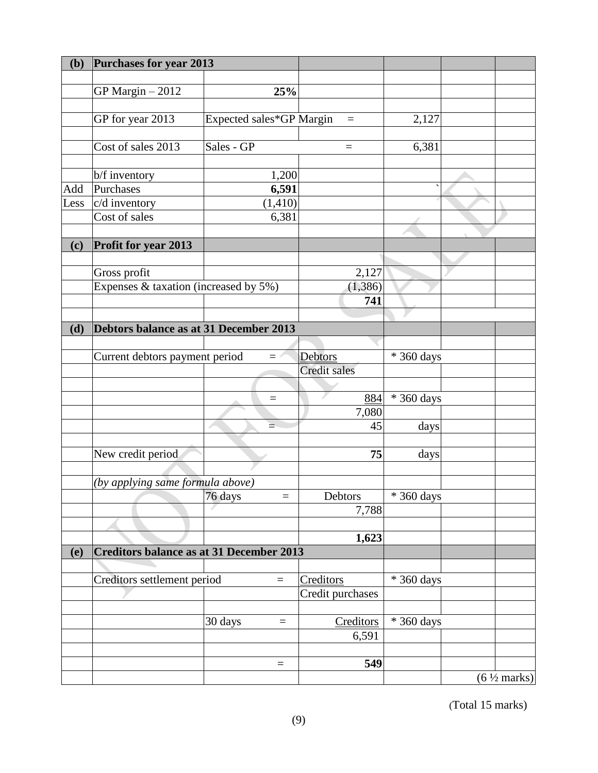| (b)  | Purchases for year 2013                         |                          |                     |                            |                         |
|------|-------------------------------------------------|--------------------------|---------------------|----------------------------|-------------------------|
|      |                                                 |                          |                     |                            |                         |
|      | GP Margin $-2012$                               | 25%                      |                     |                            |                         |
|      |                                                 |                          |                     |                            |                         |
|      | GP for year 2013                                | Expected sales*GP Margin | $=$                 | 2,127                      |                         |
|      |                                                 |                          |                     |                            |                         |
|      | Cost of sales 2013                              | Sales - GP               | $\equiv$            | 6,381                      |                         |
|      |                                                 |                          |                     |                            |                         |
|      | b/f inventory                                   | 1,200                    |                     |                            |                         |
| Add  | Purchases                                       | 6,591                    |                     |                            |                         |
| Less | c/d inventory                                   | (1, 410)                 |                     |                            |                         |
|      | Cost of sales                                   | 6,381                    |                     |                            |                         |
|      |                                                 |                          |                     |                            |                         |
| (c)  | Profit for year 2013                            |                          |                     |                            |                         |
|      |                                                 |                          |                     |                            |                         |
|      | Gross profit                                    |                          | 2,127               |                            |                         |
|      | Expenses & taxation (increased by 5%)           |                          | (1, 386)            |                            |                         |
|      |                                                 |                          | 741                 |                            |                         |
|      |                                                 |                          |                     |                            |                         |
| (d)  | Debtors balance as at 31 December 2013          |                          |                     |                            |                         |
|      | Current debtors payment period                  | $\equiv$                 | Debtors             | $\overline{\ast}$ 360 days |                         |
|      |                                                 |                          | <b>Credit sales</b> |                            |                         |
|      |                                                 |                          |                     |                            |                         |
|      |                                                 | $\equiv$                 | 884                 | * 360 days                 |                         |
|      |                                                 |                          | 7,080               |                            |                         |
|      |                                                 | ≐                        | 45                  | days                       |                         |
|      |                                                 |                          |                     |                            |                         |
|      | New credit period                               |                          | 75                  | days                       |                         |
|      |                                                 |                          |                     |                            |                         |
|      | (by applying same formula above)                |                          |                     |                            |                         |
|      |                                                 | 76 days<br>$=$           | Debtors             | * 360 days                 |                         |
|      |                                                 |                          | 7,788               |                            |                         |
|      |                                                 |                          |                     |                            |                         |
|      |                                                 |                          | 1,623               |                            |                         |
| (e)  | <b>Creditors balance as at 31 December 2013</b> |                          |                     |                            |                         |
|      |                                                 |                          |                     |                            |                         |
|      | Creditors settlement period                     | $\quad =$                | Creditors           | * 360 days                 |                         |
|      |                                                 |                          | Credit purchases    |                            |                         |
|      |                                                 |                          |                     |                            |                         |
|      |                                                 | 30 days<br>$\equiv$      | Creditors           | * 360 days                 |                         |
|      |                                                 |                          | 6,591               |                            |                         |
|      |                                                 |                          |                     |                            |                         |
|      |                                                 | $\equiv$                 | 549                 |                            |                         |
|      |                                                 |                          |                     |                            | $(6 \frac{1}{2}$ marks) |

(Total 15 marks)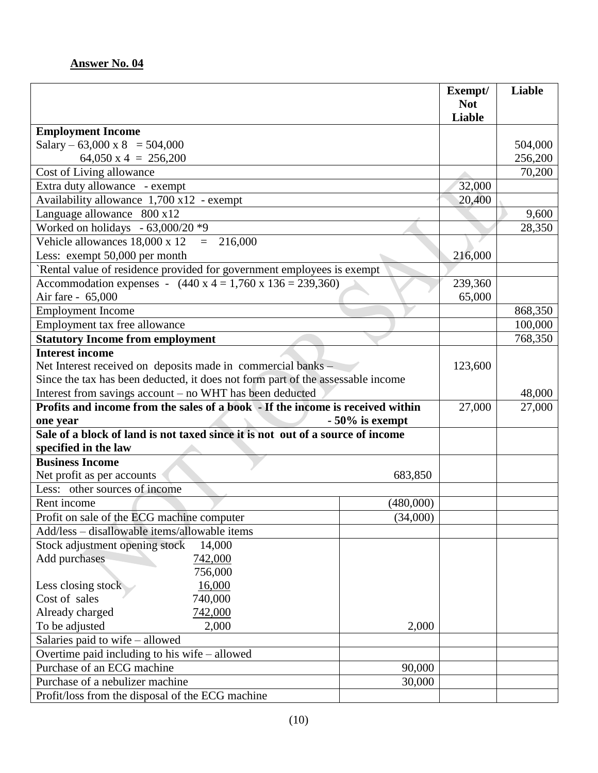|                                                                                 |           | Exempt/<br><b>Not</b> | Liable  |
|---------------------------------------------------------------------------------|-----------|-----------------------|---------|
|                                                                                 |           | <b>Liable</b>         |         |
| <b>Employment Income</b>                                                        |           |                       |         |
| Salary – 63,000 x 8 = 504,000                                                   |           |                       | 504,000 |
| 64,050 x 4 = $256,200$                                                          |           |                       | 256,200 |
| Cost of Living allowance                                                        |           |                       | 70,200  |
| Extra duty allowance - exempt                                                   |           | 32,000                |         |
| Availability allowance $1,700 \times 12$ - exempt                               |           | 20,400                |         |
| Language allowance 800 x12                                                      |           |                       | 9,600   |
| Worked on holidays - $63,000/20$ *9                                             |           |                       | 28,350  |
| Vehicle allowances 18,000 x 12<br>216,000<br>$=$                                |           |                       |         |
| Less: exempt 50,000 per month                                                   |           | 216,000               |         |
| Rental value of residence provided for government employees is exempt           |           |                       |         |
| Accommodation expenses - $(440 \times 4 = 1,760 \times 136 = 239,360)$          |           | 239,360               |         |
| Air fare - 65,000                                                               |           | 65,000                |         |
| <b>Employment Income</b>                                                        |           |                       | 868,350 |
| Employment tax free allowance                                                   |           |                       | 100,000 |
| <b>Statutory Income from employment</b>                                         |           |                       | 768,350 |
| <b>Interest income</b>                                                          |           |                       |         |
| Net Interest received on deposits made in commercial banks –                    |           |                       |         |
| Since the tax has been deducted, it does not form part of the assessable income |           |                       |         |
| Interest from savings account - no WHT has been deducted                        |           |                       | 48,000  |
| Profits and income from the sales of a book - If the income is received within  |           |                       | 27,000  |
| $-50\%$ is exempt<br>one year                                                   |           |                       |         |
| Sale of a block of land is not taxed since it is not out of a source of income  |           |                       |         |
| specified in the law<br><b>Business Income</b>                                  |           |                       |         |
|                                                                                 | 683,850   |                       |         |
| Net profit as per accounts<br>Less: other sources of income                     |           |                       |         |
| Rent income                                                                     |           |                       |         |
| Profit on sale of the ECG machine computer                                      | (480,000) |                       |         |
|                                                                                 | (34,000)  |                       |         |
| Add/less - disallowable items/allowable items                                   |           |                       |         |
| Stock adjustment opening stock<br>14,000                                        |           |                       |         |
| Add purchases<br>742,000<br>756,000                                             |           |                       |         |
| 16,000<br>Less closing stock                                                    |           |                       |         |
| Cost of sales<br>740,000                                                        |           |                       |         |
| Already charged<br>742,000                                                      |           |                       |         |
| To be adjusted<br>2,000<br>2,000                                                |           |                       |         |
| Salaries paid to wife - allowed                                                 |           |                       |         |
| Overtime paid including to his wife – allowed                                   |           |                       |         |
| Purchase of an ECG machine<br>90,000                                            |           |                       |         |
| Purchase of a nebulizer machine<br>30,000                                       |           |                       |         |
| Profit/loss from the disposal of the ECG machine                                |           |                       |         |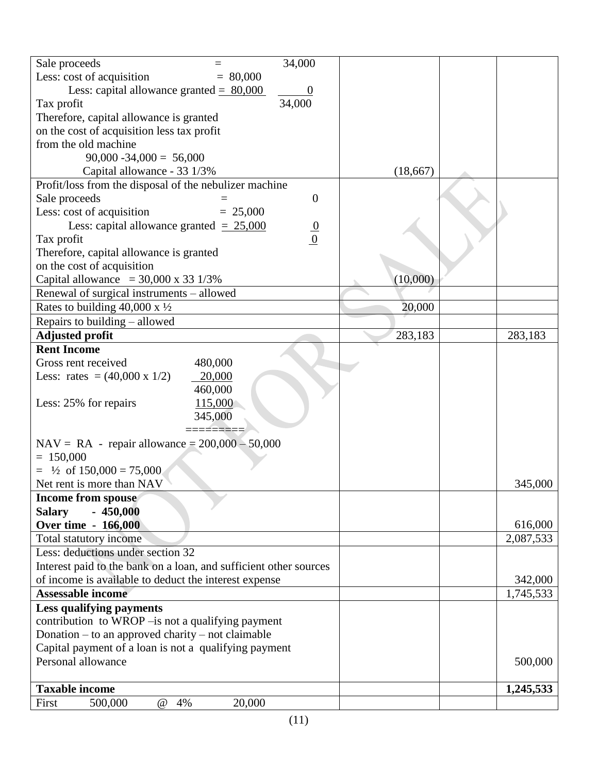| 34,000<br>Sale proceeds                                                     |           |           |
|-----------------------------------------------------------------------------|-----------|-----------|
| Less: cost of acquisition<br>$= 80,000$                                     |           |           |
| Less: capital allowance granted = $80,000$                                  |           |           |
| 34,000<br>Tax profit                                                        |           |           |
| Therefore, capital allowance is granted                                     |           |           |
| on the cost of acquisition less tax profit                                  |           |           |
| from the old machine                                                        |           |           |
| $90,000 - 34,000 = 56,000$                                                  |           |           |
| Capital allowance - 33 1/3%                                                 | (18, 667) |           |
| Profit/loss from the disposal of the nebulizer machine                      |           |           |
| Sale proceeds<br>$\boldsymbol{0}$                                           |           |           |
| Less: cost of acquisition<br>$= 25,000$                                     |           |           |
| Less: capital allowance granted $= 25,000$                                  |           |           |
| $\frac{0}{0}$<br>Tax profit                                                 |           |           |
| Therefore, capital allowance is granted                                     |           |           |
| on the cost of acquisition                                                  |           |           |
| Capital allowance = $30,000 \times 33$ 1/3%                                 | (10,000)  |           |
| Renewal of surgical instruments - allowed                                   |           |           |
| Rates to building 40,000 x $\frac{1}{2}$                                    | 20,000    |           |
| Repairs to building - allowed                                               |           |           |
| <b>Adjusted profit</b>                                                      | 283,183   | 283,183   |
| <b>Rent Income</b>                                                          |           |           |
| Gross rent received<br>480,000                                              |           |           |
| 20,000<br>Less: rates = $(40,000 \times 1/2)$                               |           |           |
| 460,000                                                                     |           |           |
| 115,000<br>Less: 25% for repairs                                            |           |           |
| 345,000                                                                     |           |           |
|                                                                             |           |           |
| $NAV = RA - repair$ allowance = 200,000 - 50,000                            |           |           |
| $= 150,000$                                                                 |           |           |
| $=$ 1/2 of 150,000 = 75,000                                                 |           |           |
| Net rent is more than NAV                                                   |           | 345,000   |
| <b>Income from spouse</b>                                                   |           |           |
| $-450,000$<br><b>Salary</b>                                                 |           |           |
| <b>Over time - 166,000</b>                                                  |           | 616,000   |
| Total statutory income                                                      |           | 2,087,533 |
| Less: deductions under section 32                                           |           |           |
| Interest paid to the bank on a loan, and sufficient other sources           |           |           |
| of income is available to deduct the interest expense                       |           | 342,000   |
| <b>Assessable income</b>                                                    |           | 1,745,533 |
|                                                                             |           |           |
| <b>Less qualifying payments</b>                                             |           |           |
| contribution to WROP – is not a qualifying payment                          |           |           |
| Donation $-$ to an approved charity $-$ not claimable                       |           |           |
| Capital payment of a loan is not a qualifying payment<br>Personal allowance |           |           |
|                                                                             |           | 500,000   |
|                                                                             |           |           |
| <b>Taxable income</b>                                                       |           | 1,245,533 |
| First<br>20,000<br>500,000<br>@<br>4%                                       |           |           |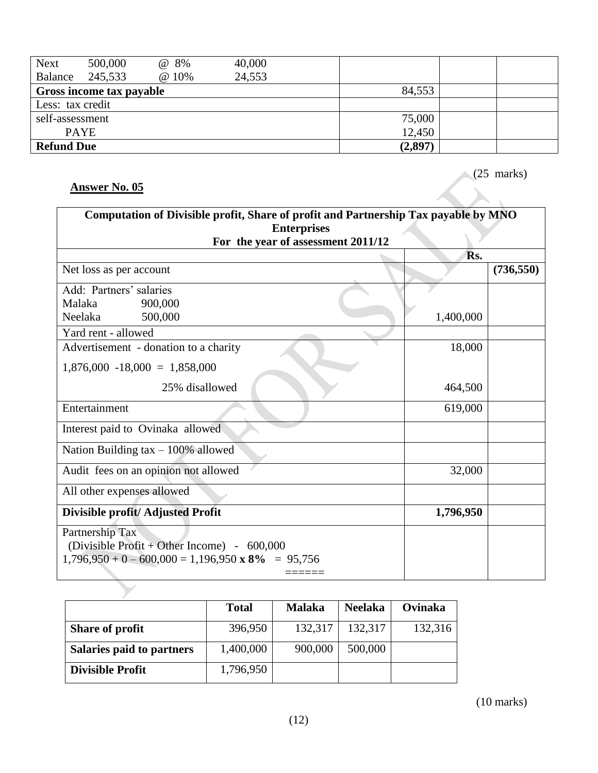| <b>Next</b>       | 500,000                  | @ 8%  | 40,000 |         |  |
|-------------------|--------------------------|-------|--------|---------|--|
| Balance           | 245,533                  | @ 10% | 24,553 |         |  |
|                   | Gross income tax payable |       |        | 84,553  |  |
| Less: tax credit  |                          |       |        |         |  |
| self-assessment   |                          |       |        | 75,000  |  |
|                   | <b>PAYE</b>              |       |        | 12,450  |  |
| <b>Refund Due</b> |                          |       |        | (2,897) |  |

(25 marks)

 $\bar{\lambda}$ 

| Computation of Divisible profit, Share of profit and Partnership Tax payable by MNO<br><b>Enterprises</b> |           |            |  |  |
|-----------------------------------------------------------------------------------------------------------|-----------|------------|--|--|
| For the year of assessment 2011/12                                                                        | Rs.       |            |  |  |
| Net loss as per account                                                                                   |           | (736, 550) |  |  |
| Add: Partners' salaries                                                                                   |           |            |  |  |
| Malaka<br>900,000                                                                                         |           |            |  |  |
| Neelaka<br>500,000                                                                                        | 1,400,000 |            |  |  |
| Yard rent - allowed                                                                                       |           |            |  |  |
| Advertisement - donation to a charity                                                                     | 18,000    |            |  |  |
| $1,876,000 - 18,000 = 1,858,000$                                                                          |           |            |  |  |
| 25% disallowed                                                                                            | 464,500   |            |  |  |
| Entertainment                                                                                             | 619,000   |            |  |  |
| Interest paid to Ovinaka allowed                                                                          |           |            |  |  |
| Nation Building $tax - 100\%$ allowed                                                                     |           |            |  |  |
| Audit fees on an opinion not allowed                                                                      | 32,000    |            |  |  |
| All other expenses allowed                                                                                |           |            |  |  |
| Divisible profit/ Adjusted Profit                                                                         | 1,796,950 |            |  |  |
| Partnership Tax                                                                                           |           |            |  |  |
| (Divisible Profit + Other Income) - $600,000$                                                             |           |            |  |  |
| $1,796,950 + 0 - 600,000 = 1,196,950 \times 8\% = 95,756$                                                 |           |            |  |  |
|                                                                                                           |           |            |  |  |

|                           | <b>Total</b> | <b>Malaka</b> | <b>Neelaka</b> | Ovinaka |
|---------------------------|--------------|---------------|----------------|---------|
| <b>Share of profit</b>    | 396,950      | 132,317       | 132,317        | 132,316 |
| Salaries paid to partners | 1,400,000    | 900,000       | 500,000        |         |
| <b>Divisible Profit</b>   | 1,796,950    |               |                |         |

(10 marks)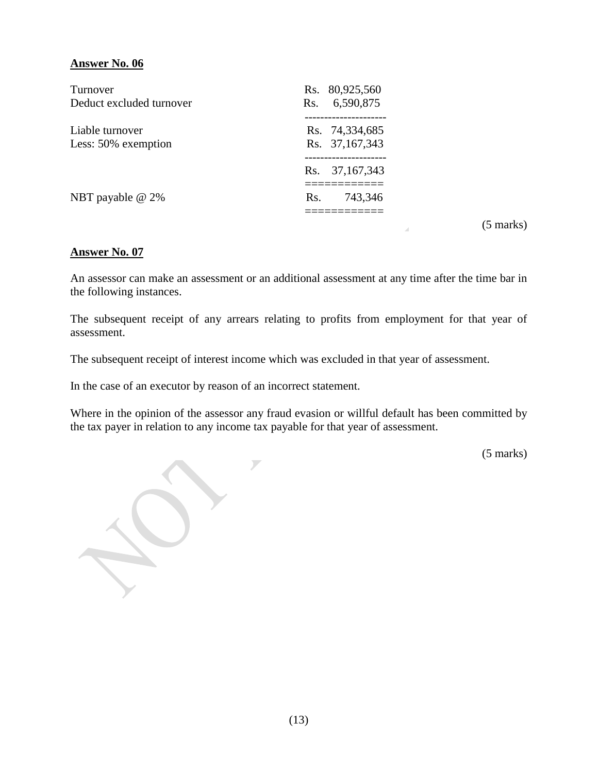| Rs. 80,925,560<br>6,590,875      |
|----------------------------------|
| Rs. 74,334,685<br>Rs. 37,167,343 |
| Rs. 37,167,343                   |
| 743,346                          |
| Rs.<br>Rs.                       |

(5 marks)

#### **Answer No. 07**

An assessor can make an assessment or an additional assessment at any time after the time bar in the following instances.

The subsequent receipt of any arrears relating to profits from employment for that year of assessment.

The subsequent receipt of interest income which was excluded in that year of assessment.

In the case of an executor by reason of an incorrect statement.

Where in the opinion of the assessor any fraud evasion or willful default has been committed by the tax payer in relation to any income tax payable for that year of assessment.

(5 marks)

 $\overline{\phantom{0}}$